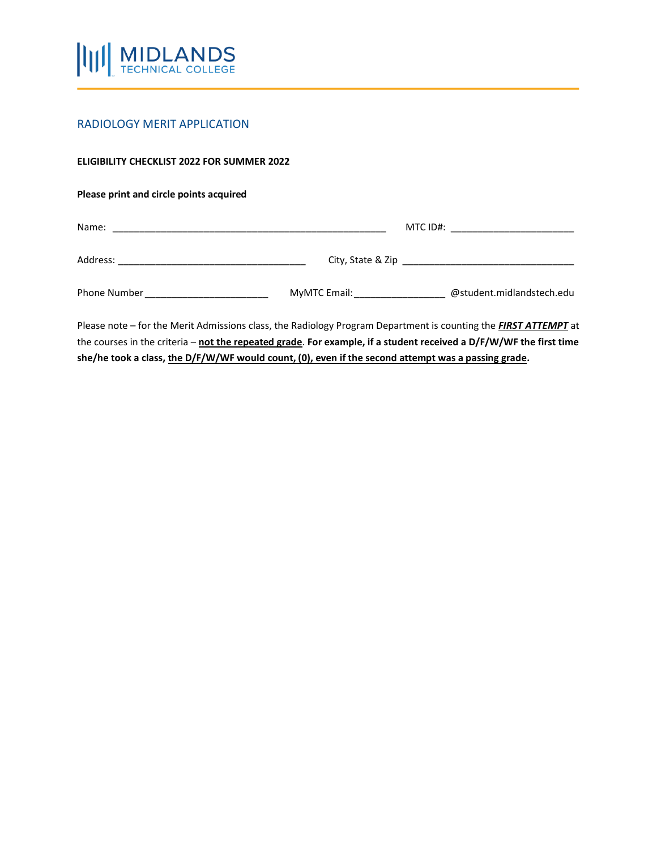

## RADIOLOGY MERIT APPLICATION

## **ELIGIBILITY CHECKLIST 2022 FOR SUMMER 2022**

## **Please print and circle points acquired**

| Name:        | MTC ID#:<br><u> 1980 - Jan Barbara Barbara, masa ka</u> |                           |  |
|--------------|---------------------------------------------------------|---------------------------|--|
| Address:     | City, State & Zip                                       |                           |  |
| Phone Number | MyMTC Email:                                            | @student.midlandstech.edu |  |

Please note – for the Merit Admissions class, the Radiology Program Department is counting the *FIRST ATTEMPT* at the courses in the criteria – **not the repeated grade**. **For example, if a student received a D/F/W/WF the first time she/he took a class, the D/F/W/WF would count, (0), even if the second attempt was a passing grade.**